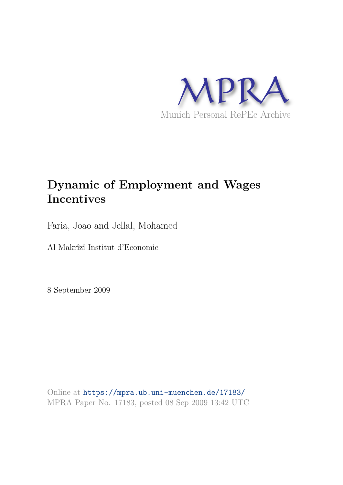

### **Dynamic of Employment and Wages Incentives**

Faria, Joao and Jellal, Mohamed

Al Makrîzî Institut d'Economie

8 September 2009

Online at https://mpra.ub.uni-muenchen.de/17183/ MPRA Paper No. 17183, posted 08 Sep 2009 13:42 UTC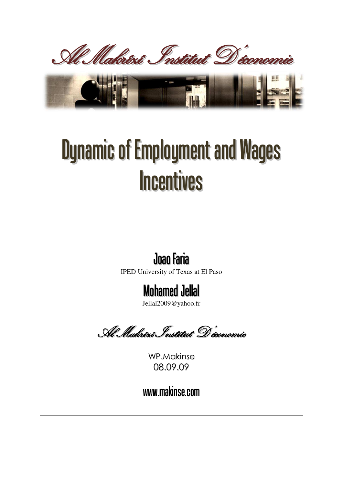

# Dynamic of Employment and Wages **Incentives**

## **Joao Faria**

IPED University of Texas at El Paso

## **Mohamed Jellal**

[Jellal2009@yahoo.fr](mailto:Jellal2009@yahoo.fr) 

Al Makrîzî Institut D'économie

WP.Makinse 08.09.09

www.makinse.com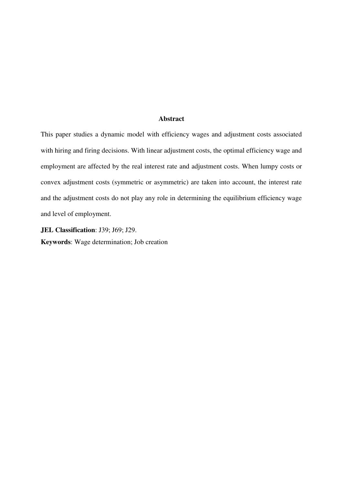#### **Abstract**

This paper studies a dynamic model with efficiency wages and adjustment costs associated with hiring and firing decisions. With linear adjustment costs, the optimal efficiency wage and employment are affected by the real interest rate and adjustment costs. When lumpy costs or convex adjustment costs (symmetric or asymmetric) are taken into account, the interest rate and the adjustment costs do not play any role in determining the equilibrium efficiency wage and level of employment.

**JEL Classification**: J39; J69; J29. **Keywords**: Wage determination; Job creation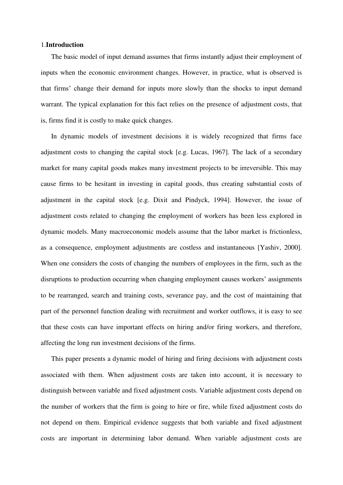#### 1.**Introduction**

The basic model of input demand assumes that firms instantly adjust their employment of inputs when the economic environment changes. However, in practice, what is observed is that firms' change their demand for inputs more slowly than the shocks to input demand warrant. The typical explanation for this fact relies on the presence of adjustment costs, that is, firms find it is costly to make quick changes.

In dynamic models of investment decisions it is widely recognized that firms face adjustment costs to changing the capital stock [e.g. Lucas, 1967]. The lack of a secondary market for many capital goods makes many investment projects to be irreversible. This may cause firms to be hesitant in investing in capital goods, thus creating substantial costs of adjustment in the capital stock [e.g. Dixit and Pindyck, 1994]. However, the issue of adjustment costs related to changing the employment of workers has been less explored in dynamic models. Many macroeconomic models assume that the labor market is frictionless, as a consequence, employment adjustments are costless and instantaneous [Yashiv, 2000]. When one considers the costs of changing the numbers of employees in the firm, such as the disruptions to production occurring when changing employment causes workers' assignments to be rearranged, search and training costs, severance pay, and the cost of maintaining that part of the personnel function dealing with recruitment and worker outflows, it is easy to see that these costs can have important effects on hiring and/or firing workers, and therefore, affecting the long run investment decisions of the firms.

This paper presents a dynamic model of hiring and firing decisions with adjustment costs associated with them. When adjustment costs are taken into account, it is necessary to distinguish between variable and fixed adjustment costs. Variable adjustment costs depend on the number of workers that the firm is going to hire or fire, while fixed adjustment costs do not depend on them. Empirical evidence suggests that both variable and fixed adjustment costs are important in determining labor demand. When variable adjustment costs are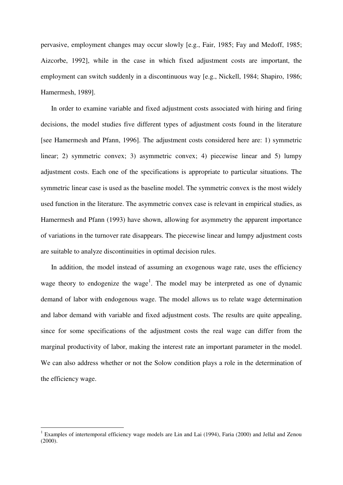pervasive, employment changes may occur slowly [e.g., Fair, 1985; Fay and Medoff, 1985; Aizcorbe, 1992], while in the case in which fixed adjustment costs are important, the employment can switch suddenly in a discontinuous way [e.g., Nickell, 1984; Shapiro, 1986; Hamermesh, 1989].

In order to examine variable and fixed adjustment costs associated with hiring and firing decisions, the model studies five different types of adjustment costs found in the literature [see Hamermesh and Pfann, 1996]. The adjustment costs considered here are: 1) symmetric linear; 2) symmetric convex; 3) asymmetric convex; 4) piecewise linear and 5) lumpy adjustment costs. Each one of the specifications is appropriate to particular situations. The symmetric linear case is used as the baseline model. The symmetric convex is the most widely used function in the literature. The asymmetric convex case is relevant in empirical studies, as Hamermesh and Pfann (1993) have shown, allowing for asymmetry the apparent importance of variations in the turnover rate disappears. The piecewise linear and lumpy adjustment costs are suitable to analyze discontinuities in optimal decision rules.

In addition, the model instead of assuming an exogenous wage rate, uses the efficiency wage theory to endogenize the wage<sup>1</sup>. The model may be interpreted as one of dynamic demand of labor with endogenous wage. The model allows us to relate wage determination and labor demand with variable and fixed adjustment costs. The results are quite appealing, since for some specifications of the adjustment costs the real wage can differ from the marginal productivity of labor, making the interest rate an important parameter in the model. We can also address whether or not the Solow condition plays a role in the determination of the efficiency wage.

-

<sup>&</sup>lt;sup>1</sup> Examples of intertemporal efficiency wage models are Lin and Lai (1994), Faria (2000) and Jellal and Zenou  $(2000)$ .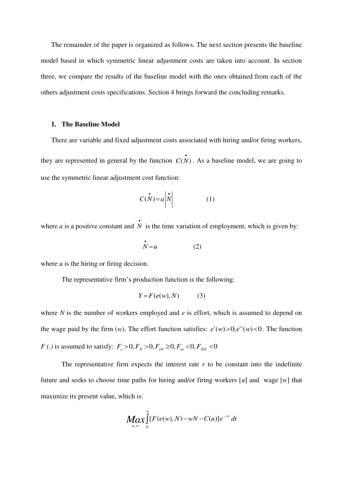The remainder of the paper is organized as follows. The next section presents the baseline model based in which symmetric linear adjustment costs are taken into account. In section three, we compare the results of the baseline model with the ones obtained from each of the others adjustment costs specifications. Section 4 brings forward the concluding remarks.

#### **1. The Baseline Model**

There are variable and fixed adjustment costs associated with hiring and/or firing workers, they are represented in general by the function  $C(N)$ . As a baseline model, we are going to use the symmetric linear adjustment cost function:

$$
C(N) = a \left| \stackrel{\bullet}{N} \right| \tag{1}
$$

where *a* is a positive constant and  $\dot{N}$  is the time variation of employment, which is given by:

$$
N = u \tag{2}
$$

where *u* is the hiring or firing decision.

The representative firm's production function is the following:

$$
Y = F(e(w), N) \tag{3}
$$

where *N* is the number of workers employed and *e* is effort, which is assumed to depend on the wage paid by the firm  $(w)$ . The effort function satisfies:  $e'(w) > 0$ ;  $e''(w) < 0$ . The function *F* (.) is assumed to satisfy:  $F_e > 0, F_N > 0, F_{eN} \ge 0, F_{ee} < 0, F_{NN} < 0$ 

The representative firm expects the interest rate  $r$  to be constant into the indefinite future and seeks to choose time paths for hiring and/or firing workers [*u*] and wage [*w*] that maximize its present value, which is:

$$
Max_{u,w} \int_{0}^{\infty} [F(e(w),N)-wN-C(u)]e^{-rt} dt
$$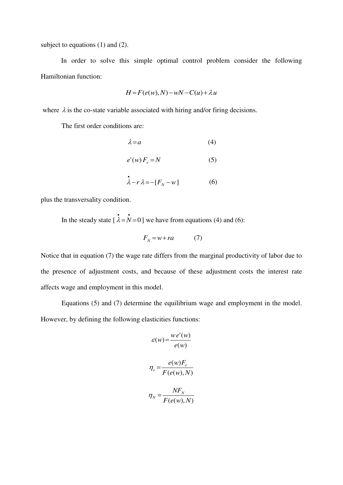subject to equations (1) and (2).

 In order to solve this simple optimal control problem consider the following Hamiltonian function:

$$
H = F(e(w), N) - wN - C(u) + \lambda u
$$

where  $\lambda$  is the co-state variable associated with hiring and/or firing decisions.

The first order conditions are:

$$
\lambda = a \tag{4}
$$

$$
e'(w) F_e = N \tag{5}
$$

$$
\dot{\lambda} - r\lambda = -[F_N - w]
$$
 (6)

plus the transversality condition.

In the steady state  $\begin{bmatrix} \lambda = N = 0 \end{bmatrix}$  we have from equations (4) and (6):

$$
F_N = w + ra \tag{7}
$$

Notice that in equation (7) the wage rate differs from the marginal productivity of labor due to the presence of adjustment costs, and because of these adjustment costs the interest rate affects wage and employment in this model.

Equations (5) and (7) determine the equilibrium wage and employment in the model. However, by defining the following elasticities functions:

$$
\mathcal{E}(w) = \frac{we'(w)}{e(w)}
$$

$$
\eta_e = \frac{e(w)F_e}{F(e(w), N)}
$$

$$
\eta_N = \frac{NF_N}{F(e(w), N)}
$$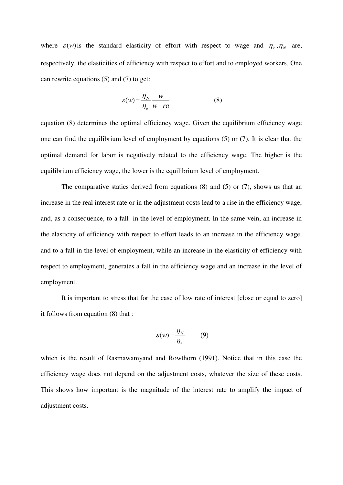where  $\varepsilon(w)$  is the standard elasticity of effort with respect to wage and  $\eta_e$ ,  $\eta_N$  are, respectively, the elasticities of efficiency with respect to effort and to employed workers. One can rewrite equations (5) and (7) to get:

$$
\varepsilon(w) = \frac{\eta_N}{\eta_e} \frac{w}{w + ra} \tag{8}
$$

equation (8) determines the optimal efficiency wage. Given the equilibrium efficiency wage one can find the equilibrium level of employment by equations (5) or (7). It is clear that the optimal demand for labor is negatively related to the efficiency wage. The higher is the equilibrium efficiency wage, the lower is the equilibrium level of employment.

The comparative statics derived from equations (8) and (5) or (7), shows us that an increase in the real interest rate or in the adjustment costs lead to a rise in the efficiency wage, and, as a consequence, to a fall in the level of employment. In the same vein, an increase in the elasticity of efficiency with respect to effort leads to an increase in the efficiency wage, and to a fall in the level of employment, while an increase in the elasticity of efficiency with respect to employment, generates a fall in the efficiency wage and an increase in the level of employment.

It is important to stress that for the case of low rate of interest [close or equal to zero] it follows from equation (8) that :

$$
\varepsilon(w) = \frac{\eta_N}{\eta_e} \qquad (9)
$$

which is the result of Rasmawamyand and Rowthorn (1991). Notice that in this case the efficiency wage does not depend on the adjustment costs, whatever the size of these costs. This shows how important is the magnitude of the interest rate to amplify the impact of adjustment costs.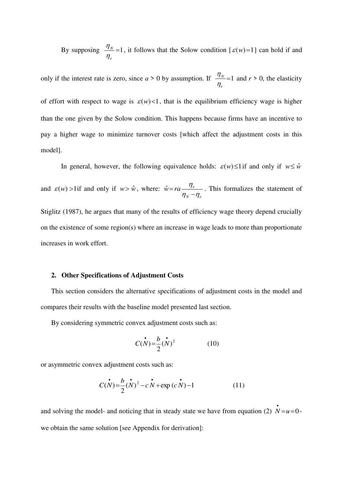By supposing  $\frac{7N}{1}$ =1 *e N*  $\eta$  $\frac{\eta_{N}}{\eta_{N}}$  = 1, it follows that the Solow condition [ $\varepsilon(w)$  = 1] can hold if and

only if the interest rate is zero, since  $a > 0$  by assumption. If  $\frac{4N}{1} = 1$ *e N*  $\eta$  $\frac{\eta_N}{\eta}$  = 1 and *r* > 0, the elasticity

of effort with respect to wage is  $\varepsilon(w)$ <1, that is the equilibrium efficiency wage is higher than the one given by the Solow condition. This happens because firms have an incentive to pay a higher wage to minimize turnover costs [which affect the adjustment costs in this model].

In general, however, the following equivalence holds:  $\varepsilon(w) \leq 1$  if and only if  $w \leq \hat{w}$ 

and  $\varepsilon(w)$  > 1if and only if  $w > \hat{w}$ , where: *N*  $\mu$  $\hat{w} = ra \frac{r_{e}}{r_{e}}$  $\eta_{N}-\eta$ η  $\overline{a}$  $\hat{w} = ra \frac{r}{r}$ . This formalizes the statement of

Stiglitz (1987), he argues that many of the results of efficiency wage theory depend crucially on the existence of some region(s) where an increase in wage leads to more than proportionate increases in work effort.

#### **2. Other Specifications of Adjustment Costs**

This section considers the alternative specifications of adjustment costs in the model and compares their results with the baseline model presented last section.

By considering symmetric convex adjustment costs such as:

$$
C(N) = \frac{b}{2} (N)^2 \tag{10}
$$

or asymmetric convex adjustment costs such as:

$$
C(N) = \frac{b}{2}(N)^2 - cN + \exp(cN) - 1
$$
 (11)

and solving the model- and noticing that in steady state we have from equation (2)  $\dot{N} = u = 0$ we obtain the same solution [see Appendix for derivation]: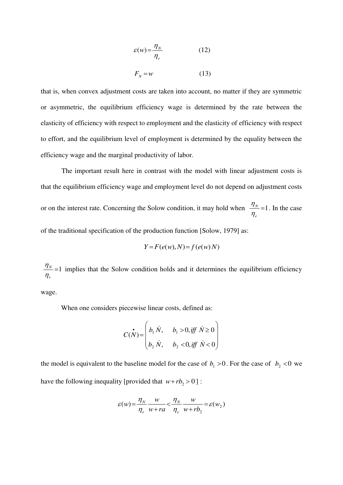$$
\varepsilon(w) = \frac{\eta_N}{\eta_e} \tag{12}
$$

$$
F_N = w \tag{13}
$$

that is, when convex adjustment costs are taken into account, no matter if they are symmetric or asymmetric, the equilibrium efficiency wage is determined by the rate between the elasticity of efficiency with respect to employment and the elasticity of efficiency with respect to effort, and the equilibrium level of employment is determined by the equality between the efficiency wage and the marginal productivity of labor.

The important result here in contrast with the model with linear adjustment costs is that the equilibrium efficiency wage and employment level do not depend on adjustment costs or on the interest rate. Concerning the Solow condition, it may hold when  $\frac{1}{1}$  = 1 *e N*  $\eta$  $\frac{\eta_N}{\eta}$ =1. In the case of the traditional specification of the production function [Solow, 1979] as:

$$
Y = F(e(w), N) = f(e(w) N)
$$

 $=1$ *e N*  $\eta$  $\frac{\eta_N}{\eta_N}$  =1 implies that the Solow condition holds and it determines the equilibrium efficiency

wage.

When one considers piecewise linear costs, defined as:

$$
C(N) = \begin{pmatrix} \mathbf{i} & \mathbf{j} & \mathbf{k} \\ b_1 & \mathbf{k} & \mathbf{k} \\ b_2 & \mathbf{k} & \mathbf{k} \end{pmatrix} \times \begin{pmatrix} \mathbf{i} & \mathbf{j} & \mathbf{k} \\ b_1 & \mathbf{k} & \mathbf{k} \end{pmatrix}
$$

the model is equivalent to the baseline model for the case of  $b_1 > 0$ . For the case of  $b_2 < 0$  we have the following inequality [provided that  $w + rb_2 > 0$ ] :

$$
\varepsilon(w) = \frac{\eta_N}{\eta_e} \frac{w}{w + ra} < \frac{\eta_N}{\eta_e} \frac{w}{w + rb_2} = \varepsilon(w_2)
$$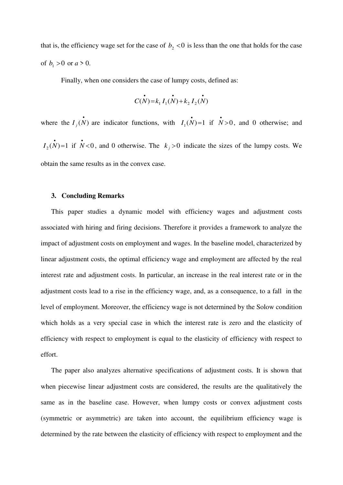that is, the efficiency wage set for the case of  $b<sub>2</sub> < 0$  is less than the one that holds for the case of  $b_1 > 0$  or  $a > 0$ .

Finally, when one considers the case of lumpy costs, defined as:

$$
\mathcal{C}(N) = k_1 I_1(N) + k_2 I_2(N)
$$

where the  $I_j(N)$  are indicator functions, with  $I_1(N)=1$  if  $N>0$ , and 0 otherwise; and  $I_2(N)=1$  if  $N<0$ , and 0 otherwise. The  $k_j>0$  indicate the sizes of the lumpy costs. We obtain the same results as in the convex case.

#### **3. Concluding Remarks**

This paper studies a dynamic model with efficiency wages and adjustment costs associated with hiring and firing decisions. Therefore it provides a framework to analyze the impact of adjustment costs on employment and wages. In the baseline model, characterized by linear adjustment costs, the optimal efficiency wage and employment are affected by the real interest rate and adjustment costs. In particular, an increase in the real interest rate or in the adjustment costs lead to a rise in the efficiency wage, and, as a consequence, to a fall in the level of employment. Moreover, the efficiency wage is not determined by the Solow condition which holds as a very special case in which the interest rate is zero and the elasticity of efficiency with respect to employment is equal to the elasticity of efficiency with respect to effort.

The paper also analyzes alternative specifications of adjustment costs. It is shown that when piecewise linear adjustment costs are considered, the results are the qualitatively the same as in the baseline case. However, when lumpy costs or convex adjustment costs (symmetric or asymmetric) are taken into account, the equilibrium efficiency wage is determined by the rate between the elasticity of efficiency with respect to employment and the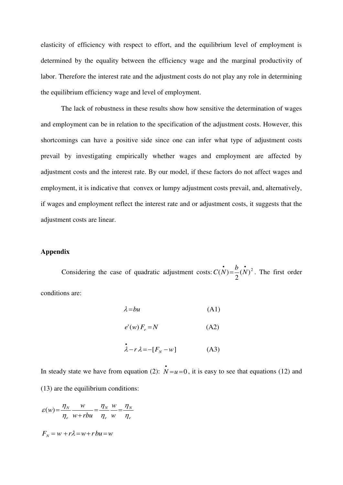elasticity of efficiency with respect to effort, and the equilibrium level of employment is determined by the equality between the efficiency wage and the marginal productivity of labor. Therefore the interest rate and the adjustment costs do not play any role in determining the equilibrium efficiency wage and level of employment.

 The lack of robustness in these results show how sensitive the determination of wages and employment can be in relation to the specification of the adjustment costs. However, this shortcomings can have a positive side since one can infer what type of adjustment costs prevail by investigating empirically whether wages and employment are affected by adjustment costs and the interest rate. By our model, if these factors do not affect wages and employment, it is indicative that convex or lumpy adjustment costs prevail, and, alternatively, if wages and employment reflect the interest rate and or adjustment costs, it suggests that the adjustment costs are linear.

#### **Appendix**

Considering the case of quadratic adjustment costs:  $C(N) = \frac{b}{2}(N)^2$ 2  $C(N) = \frac{b}{2}(N)^2$ . The first order conditions are:

$$
\lambda = bu \tag{A1}
$$

$$
e'(w) F_e = N \tag{A2}
$$

$$
\stackrel{\bullet}{\lambda} - r\lambda = -[F_N - w] \tag{A3}
$$

In steady state we have from equation (2):  $\dot{N}=u=0$ , it is easy to see that equations (12) and (13) are the equilibrium conditions:

$$
\varepsilon(w) = \frac{\eta_N}{\eta_e} \frac{w}{w + rbu} = \frac{\eta_N}{\eta_e} \frac{w}{w} = \frac{\eta_N}{\eta_e}
$$

$$
F_N = w + r\lambda = w + rbu = w
$$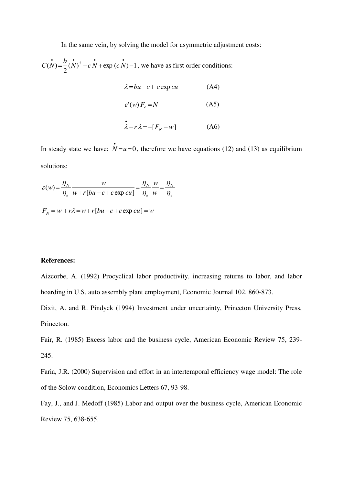In the same vein, by solving the model for asymmetric adjustment costs:

 $(N)^2 - cN + \exp(cN) - 1$ 2  $C(N) = \frac{b}{2}(N)^2 - cN + \exp(cN) - 1$ , we have as first order conditions:

$$
\lambda = bu - c + c \exp cu \tag{A4}
$$

$$
e'(w) F_e = N \tag{A5}
$$

$$
\dot{\lambda} - r\lambda = -[F_N - w]
$$
 (A6)

In steady state we have:  $\dot{N} = u = 0$ , therefore we have equations (12) and (13) as equilibrium solutions:

$$
\varepsilon(w) = \frac{\eta_N}{\eta_e} \frac{w}{w + r \left[ bu - c + c \exp cu \right]} = \frac{\eta_N}{\eta_e} \frac{w}{w} = \frac{\eta_N}{\eta_e}
$$

 $F<sub>N</sub> = w + r\lambda = w + r[bu - c + c \exp cu] = w$ 

#### **References:**

Aizcorbe, A. (1992) Procyclical labor productivity, increasing returns to labor, and labor hoarding in U.S. auto assembly plant employment, Economic Journal 102, 860-873.

Dixit, A. and R. Pindyck (1994) Investment under uncertainty, Princeton University Press, Princeton.

Fair, R. (1985) Excess labor and the business cycle, American Economic Review 75, 239- 245.

Faria, J.R. (2000) Supervision and effort in an intertemporal efficiency wage model: The role of the Solow condition, Economics Letters 67, 93-98.

Fay, J., and J. Medoff (1985) Labor and output over the business cycle, American Economic Review 75, 638-655.